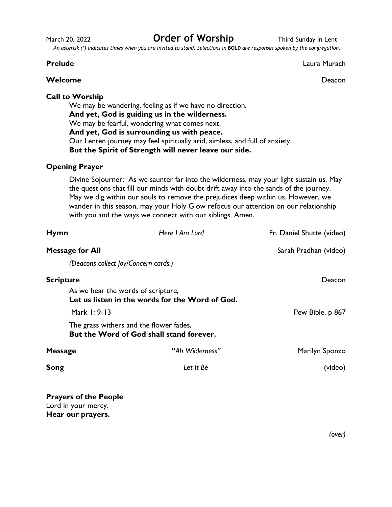March 20, 2022 **Order of Worship** Third Sunday in Lent

*An asterisk (\*) indicates times when you are invited to stand. Selections in* **BOLD** *are responses spoken by the congregation.*

### **Prelude** Laura Murach

### **Welcome** Deacon

# **Call to Worship** We may be wandering, feeling as if we have no direction. **And yet, God is guiding us in the wilderness.** We may be fearful, wondering what comes next. **And yet, God is surrounding us with peace.** Our Lenten journey may feel spiritually arid, aimless, and full of anxiety. **But the Spirit of Strength will never leave our side.**

## **Opening Prayer**

Divine Sojourner: As we saunter far into the wilderness, may your light sustain us. May the questions that fill our minds with doubt drift away into the sands of the journey. May we dig within our souls to remove the prejudices deep within us. However, we wander in this season, may your Holy Glow refocus our attention on our relationship with you and the ways we connect with our siblings. Amen.

| <b>Hymn</b>            | Here I Am Lord                                                                        | Fr. Daniel Shutte (video) |
|------------------------|---------------------------------------------------------------------------------------|---------------------------|
| <b>Message for All</b> |                                                                                       | Sarah Pradhan (video)     |
|                        | (Deacons collect Joy/Concern cards.)                                                  |                           |
| <b>Scripture</b>       | As we hear the words of scripture,<br>Let us listen in the words for the Word of God. | Deacon                    |
|                        | Mark 1: 9-13                                                                          | Pew Bible, p 867          |
|                        | The grass withers and the flower fades,<br>But the Word of God shall stand forever.   |                           |
| <b>Message</b>         | "Ah Wilderness"                                                                       | Marilyn Sponzo            |
| <b>Song</b>            | Let It Be                                                                             | (video)                   |

## **Prayers of the People** Lord in your mercy. **Hear our prayers.**

*(over)*